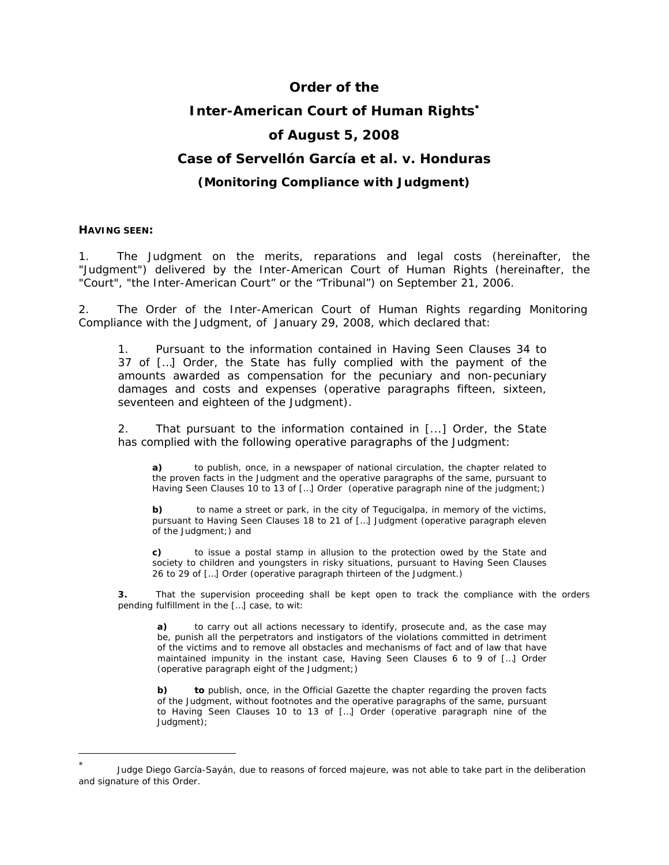# **Order of the Inter-American Court of Human Rights**<sup>∗</sup> **of August 5, 2008 Case of Servellón García** *et al. v.* **Honduras**

## *(Monitoring Compliance with Judgment)*

#### **HAVING SEEN:**

 $\overline{a}$ 

1. The Judgment on the merits, reparations and legal costs (hereinafter, the "Judgment") delivered by the Inter-American Court of Human Rights (hereinafter, the "Court", "the Inter-American Court" or the "Tribunal") on September 21, 2006.

2. The Order of the Inter-American Court of Human Rights regarding Monitoring Compliance with the Judgment, of January 29, 2008, which declared that:

1. Pursuant to the information contained in Having Seen Clauses 34 to 37 of […] Order, the State has fully complied with the payment of the amounts awarded as compensation for the pecuniary and non-pecuniary damages and costs and expenses (*operative paragraphs fifteen, sixteen, seventeen and eighteen of the Judgment).*

2. That pursuant to the information contained in [...] Order, the State has complied with the following operative paragraphs of the Judgment:

**a)** to publish, once, in a newspaper of national circulation, the chapter related to the proven facts in the Judgment and the operative paragraphs of the same, pursuant to Having Seen Clauses 10 to 13 of […] Order (*operative paragraph nine of the judgment*;)

**b)** to name a street or park, in the city of Tegucigalpa, in memory of the victims, pursuant to Having Seen Clauses 18 to 21 of […] Judgment (*operative paragraph eleven of the Judgment*;) and

**c)** to issue a postal stamp in allusion to the protection owed by the State and society to children and youngsters in risky situations, pursuant to Having Seen Clauses 26 to 29 of […] Order *(operative paragraph thirteen of the Judgment.)*

**3.** That the supervision proceeding shall be kept open to track the compliance with the orders pending fulfillment in the […] case, to wit:

**a)** to carry out all actions necessary to identify, prosecute and, as the case may be, punish all the perpetrators and instigators of the violations committed in detriment of the victims and to remove all obstacles and mechanisms of fact and of law that have maintained impunity in the instant case, Having Seen Clauses 6 to 9 of […] Order (*operative paragraph eight of the Judgment*;)

**b)** to publish, once, in the Official Gazette the chapter regarding the proven facts of the Judgment, without footnotes and the operative paragraphs of the same, pursuant to Having Seen Clauses 10 to 13 of […] Order (*operative paragraph nine of the Judgment*);

Judge Diego García-Sayán, due to reasons of forced majeure, was not able to take part in the deliberation and signature of this Order.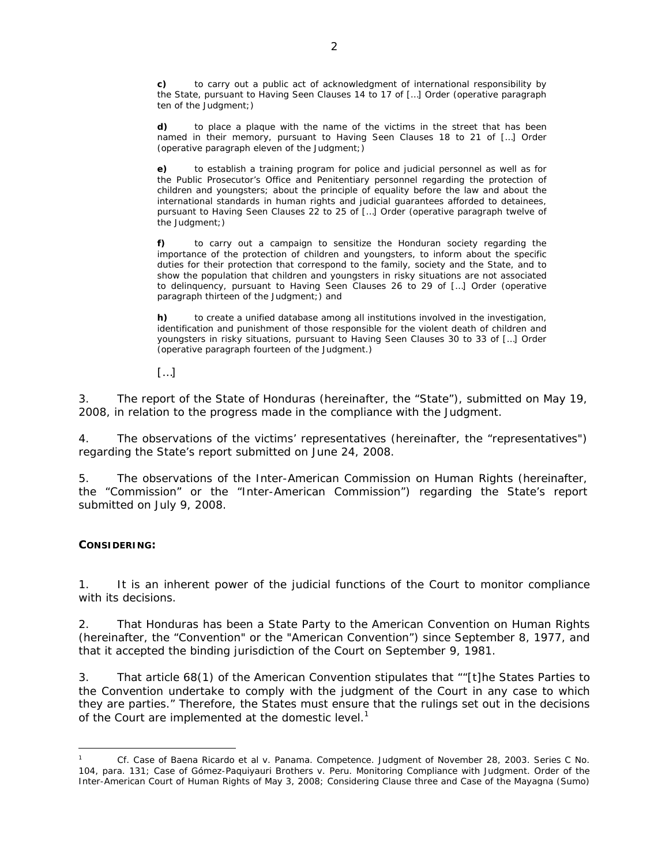**c)** to carry out a public act of acknowledgment of international responsibility by the State, pursuant to Having Seen Clauses 14 to 17 of […] Order (*operative paragraph ten of the Judgment*;)

**d)** to place a plaque with the name of the victims in the street that has been named in their memory, pursuant to Having Seen Clauses 18 to 21 of […] Order (*operative paragraph eleven of the Judgment*;)

**e)** to establish a training program for police and judicial personnel as well as for the Public Prosecutor's Office and Penitentiary personnel regarding the protection of children and youngsters; about the principle of equality before the law and about the international standards in human rights and judicial guarantees afforded to detainees, pursuant to Having Seen Clauses 22 to 25 of […] Order (*operative paragraph twelve of the Judgment*;)

**f)** to carry out a campaign to sensitize the Honduran society regarding the importance of the protection of children and youngsters, to inform about the specific duties for their protection that correspond to the family, society and the State, and to show the population that children and youngsters in risky situations are not associated to delinquency, pursuant to Having Seen Clauses 26 to 29 of […] Order (*operative paragraph thirteen of the Judgment*;) and

**h)** to create a unified database among all institutions involved in the investigation, identification and punishment of those responsible for the violent death of children and youngsters in risky situations, pursuant to Having Seen Clauses 30 to 33 of […] Order (*operative paragraph fourteen of the Judgment*.)

[…]

3. The report of the State of Honduras (hereinafter, the "State"), submitted on May 19, 2008, in relation to the progress made in the compliance with the Judgment.

4. The observations of the victims' representatives (hereinafter, the "representatives") regarding the State's report submitted on June 24, 2008.

5. The observations of the Inter-American Commission on Human Rights (hereinafter, the "Commission" or the "Inter-American Commission") regarding the State's report submitted on July 9, 2008.

## **CONSIDERING:**

 $\overline{a}$ 

1. It is an inherent power of the judicial functions of the Court to monitor compliance with its decisions.

2. That Honduras has been a State Party to the American Convention on Human Rights (hereinafter, the "Convention" or the "American Convention") since September 8, 1977, and that it accepted the binding jurisdiction of the Court on September 9, 1981.

3. That article 68(1) of the American Convention stipulates that ""[t]he States Parties to the Convention undertake to comply with the judgment of the Court in any case to which they are parties." Therefore, the States must ensure that the rulings set out in the decisions of the Court are implemented at the domestic level.<sup>1</sup>

<sup>1</sup> Cf. *Case of Baena Ricardo et al v. Panama.* Competence. Judgment of November 28, 2003. Series C No. 104, para. 131; *Case of Gómez-Paquiyauri Brothers v. Peru*. Monitoring Compliance with Judgment. Order of the Inter-American Court of Human Rights of May 3, 2008; Considering Clause three and *Case of the Mayagna (Sumo)*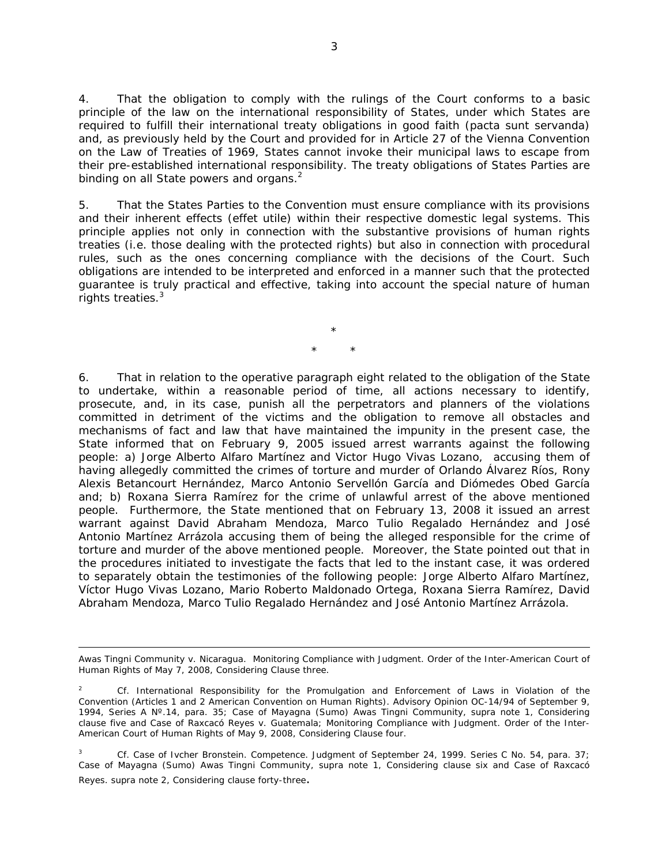4. That the obligation to comply with the rulings of the Court conforms to a basic principle of the law on the international responsibility of States, under which States are required to fulfill their international treaty obligations in good faith *(pacta sunt servanda)*  and, as previously held by the Court and provided for in Article 27 of the Vienna Convention on the Law of Treaties of 1969, States cannot invoke their municipal laws to escape from their pre-established international responsibility. The treaty obligations of States Parties are binding on all State powers and organs. $<sup>2</sup>$ </sup>

5. That the States Parties to the Convention must ensure compliance with its provisions and their inherent effects (*effet utile*) within their respective domestic legal systems. This principle applies not only in connection with the substantive provisions of human rights treaties (*i.e.* those dealing with the protected rights) but also in connection with procedural rules, such as the ones concerning compliance with the decisions of the Court. Such obligations are intended to be interpreted and enforced in a manner such that the protected guarantee is truly practical and effective, taking into account the special nature of human rights treaties. $3$ 

> \* \* \*

6. That in relation to the operative paragraph eight related to the obligation of the State to undertake, within a reasonable period of time, all actions necessary to identify, prosecute, and, in its case, punish all the perpetrators and planners of the violations committed in detriment of the victims and the obligation to remove all obstacles and mechanisms of fact and law that have maintained the impunity in the present case, the State informed that on February 9, 2005 issued arrest warrants against the following people: a) Jorge Alberto Alfaro Martínez and Victor Hugo Vivas Lozano, accusing them of having allegedly committed the crimes of torture and murder of Orlando Álvarez Ríos, Rony Alexis Betancourt Hernández, Marco Antonio Servellón García and Diómedes Obed García and; b) Roxana Sierra Ramírez for the crime of unlawful arrest of the above mentioned people. Furthermore, the State mentioned that on February 13, 2008 it issued an arrest warrant against David Abraham Mendoza, Marco Tulio Regalado Hernández and José Antonio Martínez Arrázola accusing them of being the alleged responsible for the crime of torture and murder of the above mentioned people. Moreover, the State pointed out that in the procedures initiated to investigate the facts that led to the instant case, it was ordered to separately obtain the testimonies of the following people: Jorge Alberto Alfaro Martínez, Víctor Hugo Vivas Lozano, Mario Roberto Maldonado Ortega, Roxana Sierra Ramírez, David Abraham Mendoza, Marco Tulio Regalado Hernández and José Antonio Martínez Arrázola.

 $\overline{a}$ 

3 *Cf. Case of Ivcher Bronstein. Competence.* Judgment of September 24, 1999. Series C No. 54, para. 37; *Case of Mayagna (Sumo) Awas Tingni Community, supra* note 1, Considering clause six and Case *of Raxcacó Reyes. supra* note 2, Considering clause forty-three.

*Awas Tingni Community v. Nicaragua.* Monitoring Compliance with Judgment. Order of the Inter-American Court of Human Rights of May 7, 2008, Considering Clause three.

<sup>2</sup> *Cf. International Responsibility for the Promulgation and Enforcement of Laws in Violation of the Convention* (Articles 1 and 2 American Convention on Human Rights). Advisory Opinion OC-14/94 of September 9, 1994, Series A Nº.14, para. 35; *Case of Mayagna (Sumo) Awas Tingni Community, supra* note 1, Considering clause five and *Case of Raxcacó Reyes v. Guatemala; Monitoring Compliance with Judgment.* Order of the Inter-American Court of Human Rights of May 9, 2008, Considering Clause four.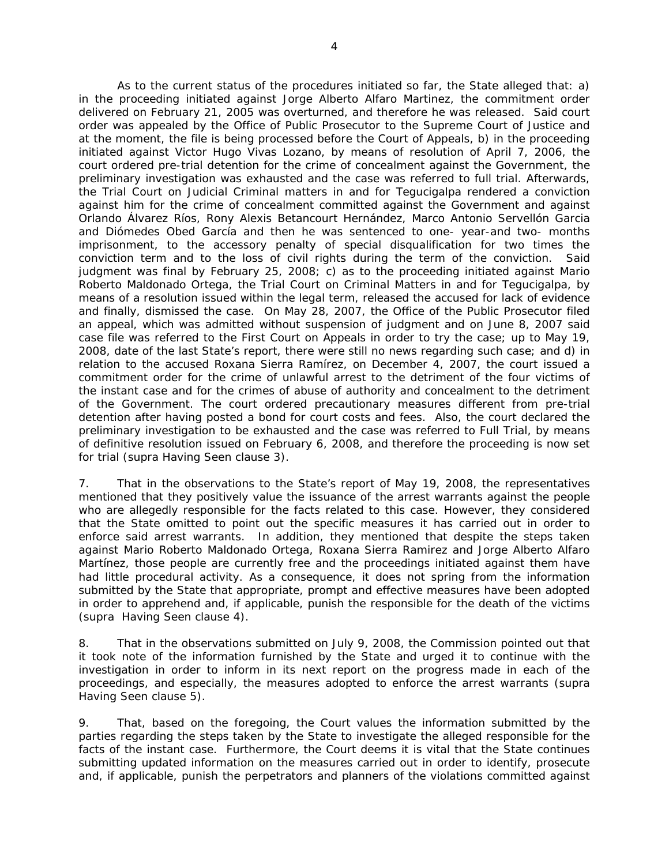As to the current status of the procedures initiated so far, the State alleged that: a) in the proceeding initiated against Jorge Alberto Alfaro Martinez, the commitment order delivered on February 21, 2005 was overturned, and therefore he was released. Said court order was appealed by the Office of Public Prosecutor to the Supreme Court of Justice and at the moment, the file is being processed before the Court of Appeals, b) in the proceeding initiated against Victor Hugo Vivas Lozano, by means of resolution of April 7, 2006, the court ordered pre-trial detention for the crime of concealment against the Government, the preliminary investigation was exhausted and the case was referred to full trial. Afterwards, the Trial Court on Judicial Criminal matters in and for Tegucigalpa rendered a conviction against him for the crime of concealment committed against the Government and against Orlando Álvarez Ríos, Rony Alexis Betancourt Hernández, Marco Antonio Servellón Garcia and Diómedes Obed García and then he was sentenced to one- year-and two- months imprisonment, to the accessory penalty of special disqualification for two times the conviction term and to the loss of civil rights during the term of the conviction. Said judgment was final by February 25, 2008; c) as to the proceeding initiated against Mario Roberto Maldonado Ortega, the Trial Court on Criminal Matters in and for Tegucigalpa, by means of a resolution issued within the legal term, released the accused for lack of evidence and finally, dismissed the case. On May 28, 2007, the Office of the Public Prosecutor filed an appeal, which was admitted without suspension of judgment and on June 8, 2007 said case file was referred to the First Court on Appeals in order to try the case; up to May 19, 2008, date of the last State's report, there were still no news regarding such case; and d) in relation to the accused Roxana Sierra Ramírez, on December 4, 2007, the court issued a commitment order for the crime of unlawful arrest to the detriment of the four victims of the instant case and for the crimes of abuse of authority and concealment to the detriment of the Government. The court ordered precautionary measures different from pre-trial detention after having posted a bond for court costs and fees. Also, the court declared the preliminary investigation to be exhausted and the case was referred to Full Trial, by means of definitive resolution issued on February 6, 2008, and therefore the proceeding is now set for trial (*supra* Having Seen clause 3).

7. That in the observations to the State's report of May 19, 2008, the representatives mentioned that they positively value the issuance of the arrest warrants against the people who are allegedly responsible for the facts related to this case. However, they considered that the State omitted to point out the specific measures it has carried out in order to enforce said arrest warrants. In addition, they mentioned that despite the steps taken against Mario Roberto Maldonado Ortega, Roxana Sierra Ramirez and Jorge Alberto Alfaro Martínez, those people are currently free and the proceedings initiated against them have had little procedural activity. As a consequence, it does not spring from the information submitted by the State that appropriate, prompt and effective measures have been adopted in order to apprehend and, if applicable, punish the responsible for the death of the victims (*supra* Having Seen clause 4).

8. That in the observations submitted on July 9, 2008, the Commission pointed out that it took note of the information furnished by the State and urged it to continue with the investigation in order to inform in its next report on the progress made in each of the proceedings, and especially, the measures adopted to enforce the arrest warrants (*supra*  Having Seen clause 5).

9. That, based on the foregoing, the Court values the information submitted by the parties regarding the steps taken by the State to investigate the alleged responsible for the facts of the instant case.Furthermore, the Court deems it is vital that the State continues submitting updated information on the measures carried out in order to identify, prosecute and, if applicable, punish the perpetrators and planners of the violations committed against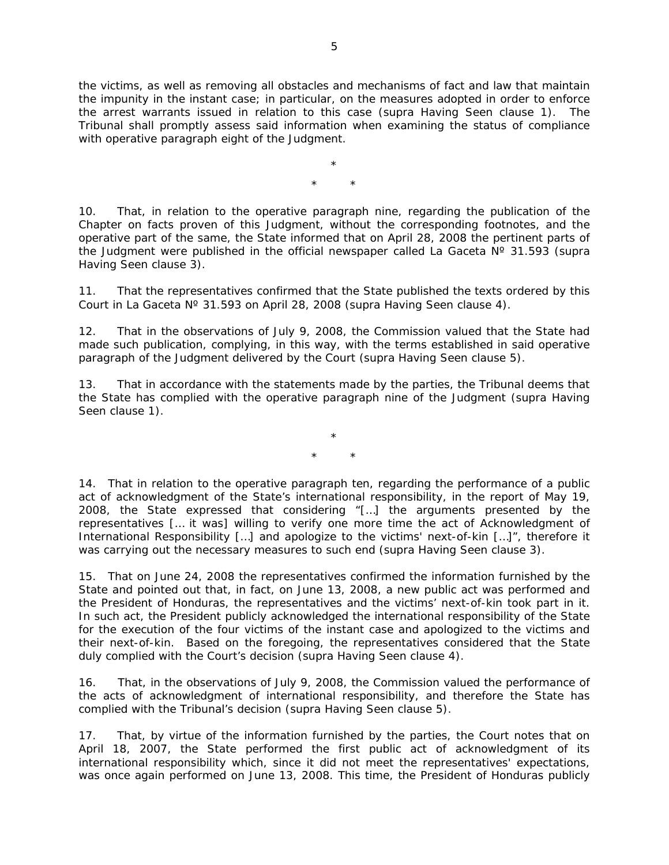the victims, as well as removing all obstacles and mechanisms of fact and law that maintain the impunity in the instant case; in particular, on the measures adopted in order to enforce the arrest warrants issued in relation to this case (*supra* Having Seen clause 1). The Tribunal shall promptly assess said information when examining the status of compliance with operative paragraph eight of the Judgment.

> \* \* \*

10. That, in relation to the operative paragraph nine, regarding the publication of the Chapter on facts proven of this Judgment, without the corresponding footnotes, and the operative part of the same, the State informed that on April 28, 2008 the pertinent parts of the Judgment were published in the official newspaper called La Gaceta Nº 31.593 (*supra* Having Seen clause 3).

11. That the representatives confirmed that the State published the texts ordered by this Court in La Gaceta Nº 31.593 on April 28, 2008 (*supra* Having Seen clause 4).

12. That in the observations of July 9, 2008, the Commission valued that the State had made such publication, complying, in this way, with the terms established in said operative paragraph of the Judgment delivered by the Court (*supra* Having Seen clause 5).

13. That in accordance with the statements made by the parties, the Tribunal deems that the State has complied with the operative paragraph nine of the Judgment (*supra* Having Seen clause 1).

> \* \* \*

14. That in relation to the operative paragraph ten, regarding the performance of a public act of acknowledgment of the State's international responsibility, in the report of May 19, 2008, the State expressed that considering "[…] the arguments presented by the representatives [… it was] willing to verify one more time the act of Acknowledgment of International Responsibility [...] and apologize to the victims' next-of-kin [...]", therefore it was carrying out the necessary measures to such end (*supra* Having Seen clause 3).

15. That on June 24, 2008 the representatives confirmed the information furnished by the State and pointed out that, in fact, on June 13, 2008, a new public act was performed and the President of Honduras, the representatives and the victims' next-of-kin took part in it. In such act, the President publicly acknowledged the international responsibility of the State for the execution of the four victims of the instant case and apologized to the victims and their next-of-kin. Based on the foregoing, the representatives considered that the State duly complied with the Court's decision (*supra* Having Seen clause 4).

16. That, in the observations of July 9, 2008, the Commission valued the performance of the acts of acknowledgment of international responsibility, and therefore the State has complied with the Tribunal's decision (*supra* Having Seen clause 5).

17. That, by virtue of the information furnished by the parties, the Court notes that on April 18, 2007, the State performed the first public act of acknowledgment of its international responsibility which, since it did not meet the representatives' expectations, was once again performed on June 13, 2008. This time, the President of Honduras publicly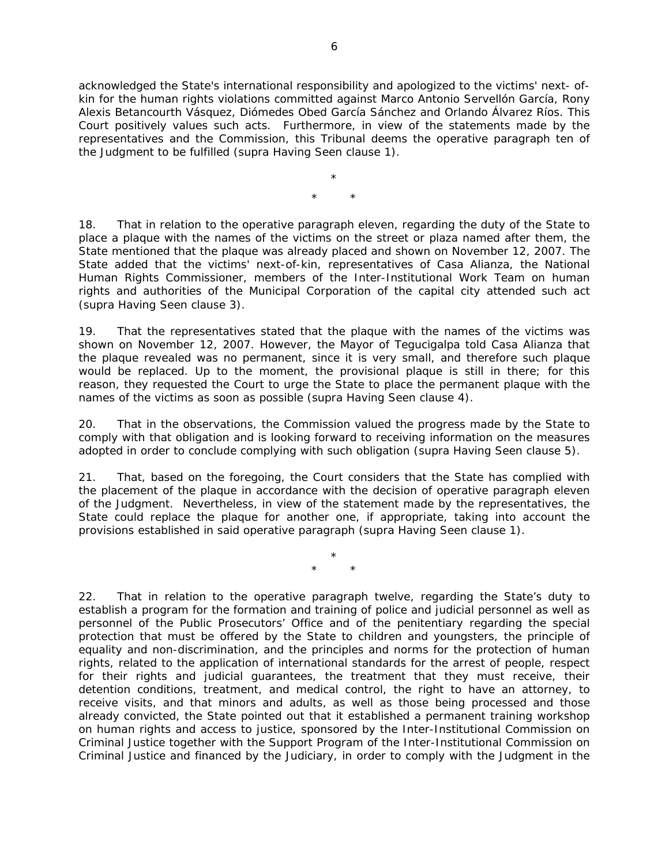acknowledged the State's international responsibility and apologized to the victims' next- ofkin for the human rights violations committed against Marco Antonio Servellón García, Rony Alexis Betancourth Vásquez, Diómedes Obed García Sánchez and Orlando Álvarez Ríos. This Court positively values such acts. Furthermore, in view of the statements made by the representatives and the Commission, this Tribunal deems the operative paragraph ten of the Judgment to be fulfilled (*supra* Having Seen clause 1).

> \* \* \*

18. That in relation to the operative paragraph eleven, regarding the duty of the State to place a plaque with the names of the victims on the street or plaza named after them, the State mentioned that the plaque was already placed and shown on November 12, 2007. The State added that the victims' next-of-kin, representatives of Casa Alianza, the National Human Rights Commissioner, members of the Inter-Institutional Work Team on human rights and authorities of the Municipal Corporation of the capital city attended such act (*supra* Having Seen clause 3).

19. That the representatives stated that the plaque with the names of the victims was shown on November 12, 2007. However, the Mayor of Tegucigalpa told Casa Alianza that the plaque revealed was no permanent, since it is very small, and therefore such plaque would be replaced. Up to the moment, the provisional plaque is still in there; for this reason, they requested the Court to urge the State to place the permanent plaque with the names of the victims as soon as possible (*supra* Having Seen clause 4).

20. That in the observations, the Commission valued the progress made by the State to comply with that obligation and is looking forward to receiving information on the measures adopted in order to conclude complying with such obligation (*supra* Having Seen clause 5).

21. That, based on the foregoing, the Court considers that the State has complied with the placement of the plaque in accordance with the decision of operative paragraph eleven of the Judgment. Nevertheless, in view of the statement made by the representatives, the State could replace the plaque for another one, if appropriate, taking into account the provisions established in said operative paragraph (*supra* Having Seen clause 1).

> \* \* \*

22. That in relation to the operative paragraph twelve, regarding the State's duty to establish a program for the formation and training of police and judicial personnel as well as personnel of the Public Prosecutors' Office and of the penitentiary regarding the special protection that must be offered by the State to children and youngsters, the principle of equality and non-discrimination, and the principles and norms for the protection of human rights, related to the application of international standards for the arrest of people, respect for their rights and judicial guarantees, the treatment that they must receive, their detention conditions, treatment, and medical control, the right to have an attorney, to receive visits, and that minors and adults, as well as those being processed and those already convicted, the State pointed out that it established a permanent training workshop on human rights and access to justice, sponsored by the Inter-Institutional Commission on Criminal Justice together with the Support Program of the Inter-Institutional Commission on Criminal Justice and financed by the Judiciary, in order to comply with the Judgment in the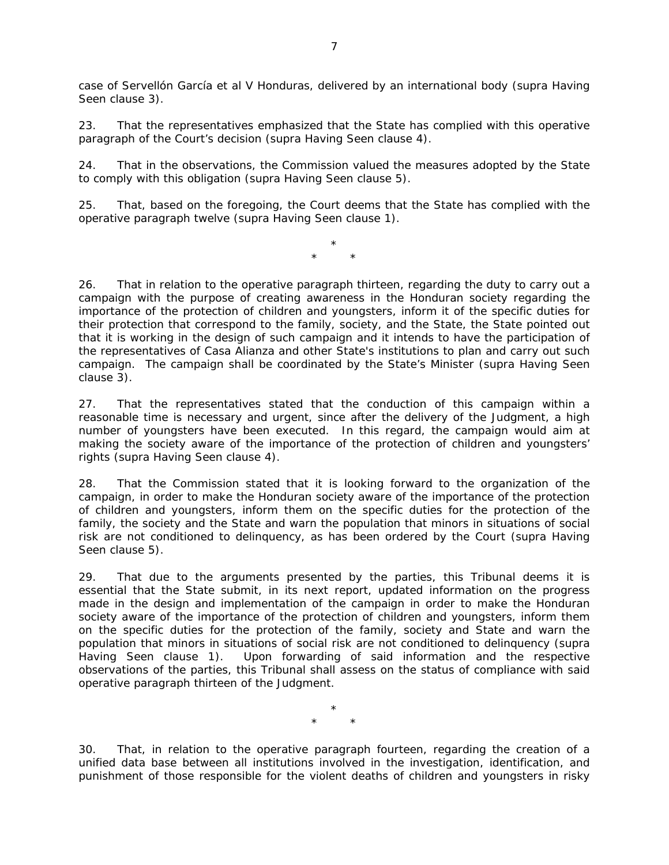case of Servellón García et al V Honduras, delivered by an international body (*supra* Having Seen clause 3).

23. That the representatives emphasized that the State has complied with this operative paragraph of the Court's decision (*supra* Having Seen clause 4).

24. That in the observations, the Commission valued the measures adopted by the State to comply with this obligation (*supra* Having Seen clause 5).

25. That, based on the foregoing, the Court deems that the State has complied with the operative paragraph twelve (*supra* Having Seen clause 1).

> \* \* \*

26. That in relation to the operative paragraph thirteen, regarding the duty to carry out a campaign with the purpose of creating awareness in the Honduran society regarding the importance of the protection of children and youngsters, inform it of the specific duties for their protection that correspond to the family, society, and the State, the State pointed out that it is working in the design of such campaign and it intends to have the participation of the representatives of Casa Alianza and other State's institutions to plan and carry out such campaign. The campaign shall be coordinated by the State's Minister (*supra* Having Seen clause 3).

27. That the representatives stated that the conduction of this campaign within a reasonable time is necessary and urgent, since after the delivery of the Judgment, a high number of youngsters have been executed. In this regard, the campaign would aim at making the society aware of the importance of the protection of children and youngsters' rights (*supra* Having Seen clause 4).

28. That the Commission stated that it is looking forward to the organization of the campaign, in order to make the Honduran society aware of the importance of the protection of children and youngsters, inform them on the specific duties for the protection of the family, the society and the State and warn the population that minors in situations of social risk are not conditioned to delinquency, as has been ordered by the Court (*supra* Having Seen clause 5).

29. That due to the arguments presented by the parties, this Tribunal deems it is essential that the State submit, in its next report, updated information on the progress made in the design and implementation of the campaign in order to make the Honduran society aware of the importance of the protection of children and youngsters, inform them on the specific duties for the protection of the family, society and State and warn the population that minors in situations of social risk are not conditioned to delinquency (*supra* Having Seen clause 1). Upon forwarding of said information and the respective observations of the parties, this Tribunal shall assess on the status of compliance with said operative paragraph thirteen of the Judgment.

> \* \* \*

30. That, in relation to the operative paragraph fourteen, regarding the creation of a unified data base between all institutions involved in the investigation, identification, and punishment of those responsible for the violent deaths of children and youngsters in risky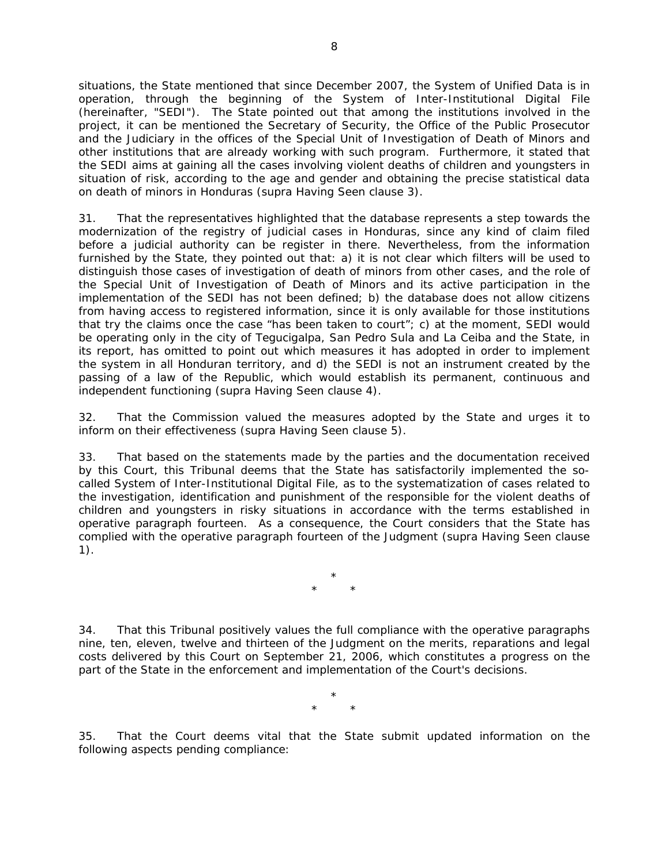situations, the State mentioned that since December 2007, the System of Unified Data is in operation, through the beginning of the System of Inter-Institutional Digital File (hereinafter, "SEDI"). The State pointed out that among the institutions involved in the project, it can be mentioned the Secretary of Security, the Office of the Public Prosecutor and the Judiciary in the offices of the Special Unit of Investigation of Death of Minors and other institutions that are already working with such program.Furthermore, it stated that the SEDI aims at gaining all the cases involving violent deaths of children and youngsters in situation of risk, according to the age and gender and obtaining the precise statistical data on death of minors in Honduras (*supra* Having Seen clause 3).

31. That the representatives highlighted that the database represents a step towards the modernization of the registry of judicial cases in Honduras, since any kind of claim filed before a judicial authority can be register in there. Nevertheless, from the information furnished by the State, they pointed out that: a) it is not clear which filters will be used to distinguish those cases of investigation of death of minors from other cases, and the role of the Special Unit of Investigation of Death of Minors and its active participation in the implementation of the SEDI has not been defined; b) the database does not allow citizens from having access to registered information, since it is only available for those institutions that try the claims once the case "has been taken to court"; c) at the moment, SEDI would be operating only in the city of Tegucigalpa, San Pedro Sula and La Ceiba and the State, in its report, has omitted to point out which measures it has adopted in order to implement the system in all Honduran territory, and d) the SEDI is not an instrument created by the passing of a law of the Republic, which would establish its permanent, continuous and independent functioning (*supra* Having Seen clause 4).

32. That the Commission valued the measures adopted by the State and urges it to inform on their effectiveness (*supra* Having Seen clause 5).

33. That based on the statements made by the parties and the documentation received by this Court, this Tribunal deems that the State has satisfactorily implemented the socalled System of Inter-Institutional Digital File, as to the systematization of cases related to the investigation, identification and punishment of the responsible for the violent deaths of children and youngsters in risky situations in accordance with the terms established in operative paragraph fourteen. As a consequence, the Court considers that the State has complied with the operative paragraph fourteen of the Judgment (*supra* Having Seen clause 1).

> \* \* \*

34. That this Tribunal positively values the full compliance with the operative paragraphs nine, ten, eleven, twelve and thirteen of the Judgment on the merits, reparations and legal costs delivered by this Court on September 21, 2006, which constitutes a progress on the part of the State in the enforcement and implementation of the Court's decisions.

> \* \* \*

35. That the Court deems vital that the State submit updated information on the following aspects pending compliance: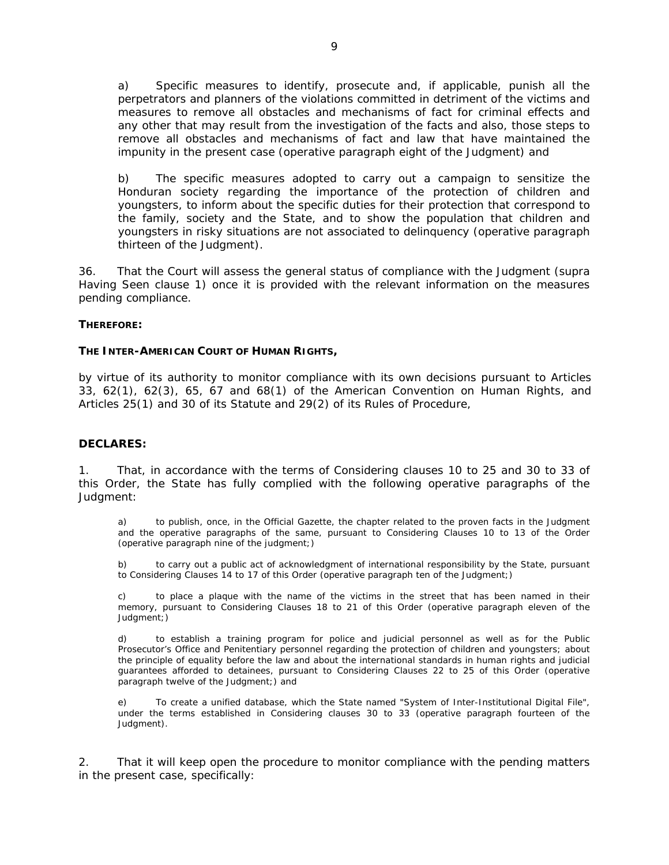a)Specific measures to identify, prosecute and, if applicable, punish all the perpetrators and planners of the violations committed in detriment of the victims and measures to remove all obstacles and mechanisms of fact for criminal effects and any other that may result from the investigation of the facts and also, those steps to remove all obstacles and mechanisms of fact and law that have maintained the impunity in the present case *(operative paragraph eight of the Judgment*) and

b) The specific measures adopted to carry out a campaign to sensitize the Honduran society regarding the importance of the protection of children and youngsters, to inform about the specific duties for their protection that correspond to the family, society and the State, and to show the population that children and youngsters in risky situations are not associated to delinquency (*operative paragraph thirteen of the Judgment*).

36. That the Court will assess the general status of compliance with the Judgment (*supra*  Having Seen clause 1) once it is provided with the relevant information on the measures pending compliance.

#### **THEREFORE:**

#### **THE INTER-AMERICAN COURT OF HUMAN RIGHTS,**

by virtue of its authority to monitor compliance with its own decisions pursuant to Articles 33, 62(1), 62(3), 65, 67 and 68(1) of the American Convention on Human Rights, and Articles 25(1) and 30 of its Statute and 29(2) of its Rules of Procedure,

#### **DECLARES:**

1. That, in accordance with the terms of Considering clauses 10 to 25 and 30 to 33 of this Order, the State has fully complied with the following operative paragraphs of the Judgment:

a) to publish, once, in the Official Gazette, the chapter related to the proven facts in the Judgment and the operative paragraphs of the same, pursuant to Considering Clauses 10 to 13 of the Order (*operative paragraph nine of the judgment*;)

b) to carry out a public act of acknowledgment of international responsibility by the State, pursuant to Considering Clauses 14 to 17 of this Order (*operative paragraph ten of the Judgment*;)

c) to place a plaque with the name of the victims in the street that has been named in their memory, pursuant to Considering Clauses 18 to 21 of this Order (*operative paragraph eleven of the Judgment*;)

d) to establish a training program for police and judicial personnel as well as for the Public Prosecutor's Office and Penitentiary personnel regarding the protection of children and youngsters; about the principle of equality before the law and about the international standards in human rights and judicial guarantees afforded to detainees, pursuant to Considering Clauses 22 to 25 of this Order (*operative paragraph twelve of the Judgment*;) and

To create a unified database, which the State named "System of Inter-Institutional Digital File", under the terms established in Considering clauses 30 to 33 (*operative paragraph fourteen of the Judgment).*

2. That it will keep open the procedure to monitor compliance with the pending matters in the present case, specifically: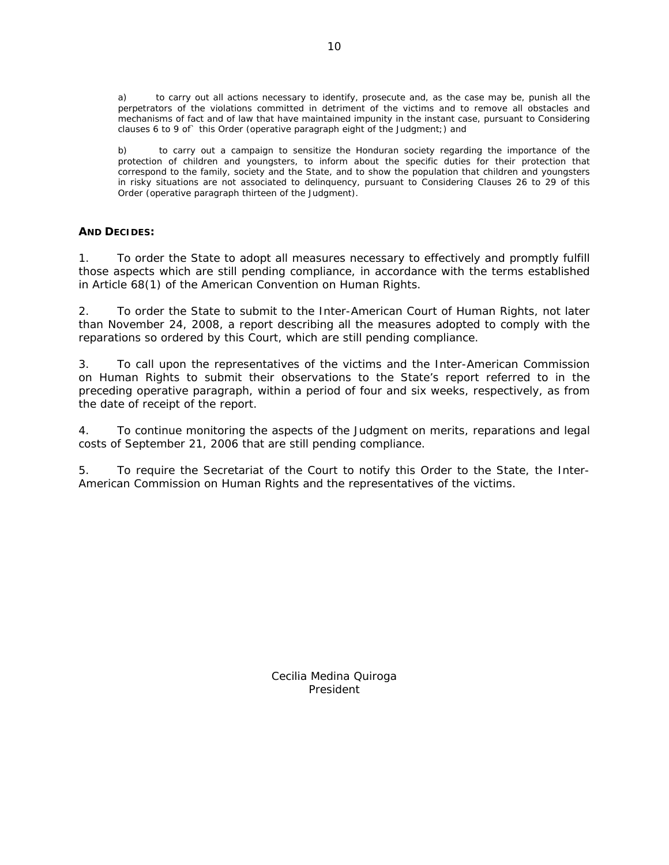a) to carry out all actions necessary to identify, prosecute and, as the case may be, punish all the perpetrators of the violations committed in detriment of the victims and to remove all obstacles and mechanisms of fact and of law that have maintained impunity in the instant case, pursuant to Considering clauses 6 to 9 of` this Order (*operative paragraph eight of the Judgment*;) and

b) to carry out a campaign to sensitize the Honduran society regarding the importance of the protection of children and youngsters, to inform about the specific duties for their protection that correspond to the family, society and the State, and to show the population that children and youngsters in risky situations are not associated to delinquency, pursuant to Considering Clauses 26 to 29 of this Order (*operative paragraph thirteen of the Judgment*).

## **AND DECIDES:**

1. To order the State to adopt all measures necessary to effectively and promptly fulfill those aspects which are still pending compliance, in accordance with the terms established in Article 68(1) of the American Convention on Human Rights.

2. To order the State to submit to the Inter-American Court of Human Rights, not later than November 24, 2008, a report describing all the measures adopted to comply with the reparations so ordered by this Court, which are still pending compliance.

3. To call upon the representatives of the victims and the Inter-American Commission on Human Rights to submit their observations to the State's report referred to in the preceding operative paragraph, within a period of four and six weeks, respectively, as from the date of receipt of the report.

4. To continue monitoring the aspects of the Judgment on merits, reparations and legal costs of September 21, 2006 that are still pending compliance.

5. To require the Secretariat of the Court to notify this Order to the State, the Inter-American Commission on Human Rights and the representatives of the victims.

> Cecilia Medina Quiroga President